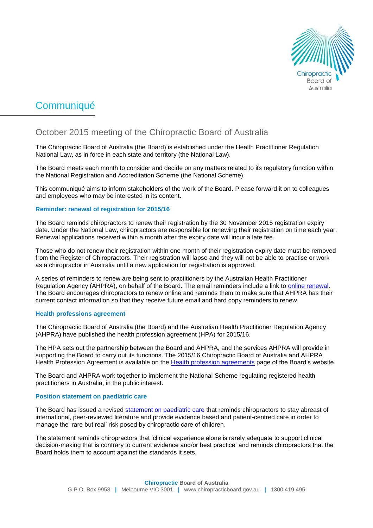

# Communiqué

# October 2015 meeting of the Chiropractic Board of Australia

The Chiropractic Board of Australia (the Board) is established under the Health Practitioner Regulation National Law, as in force in each state and territory (the National Law).

The Board meets each month to consider and decide on any matters related to its regulatory function within the National Registration and Accreditation Scheme (the National Scheme).

This communiqué aims to inform stakeholders of the work of the Board. Please forward it on to colleagues and employees who may be interested in its content.

#### **Reminder: renewal of registration for 2015/16**

The Board reminds chiropractors to renew their registration by the 30 November 2015 registration expiry date. Under the National Law, chiropractors are responsible for renewing their registration on time each year. Renewal applications received within a month after the expiry date will incur a late fee.

Those who do not renew their registration within one month of their registration expiry date must be removed from the Register of Chiropractors. Their registration will lapse and they will not be able to practise or work as a chiropractor in Australia until a new application for registration is approved.

A series of reminders to renew are being sent to practitioners by the Australian Health Practitioner Regulation Agency (AHPRA), on behalf of the Board. The email reminders include a link to [online renewal.](https://www.ahpra.gov.au/Login.aspx) The Board encourages chiropractors to renew online and reminds them to make sure that AHPRA has their current contact information so that they receive future email and hard copy reminders to renew.

#### **Health professions agreement**

The Chiropractic Board of Australia (the Board) and the Australian Health Practitioner Regulation Agency (AHPRA) have published the health profession agreement (HPA) for 2015/16.

The HPA sets out the partnership between the Board and AHPRA, and the services AHPRA will provide in supporting the Board to carry out its functions. The 2015/16 Chiropractic Board of Australia and AHPRA Health Profession Agreement is available on the [Health profession agreements](http://www.chiropracticboard.gov.au/News/2015-10-14-media-release.aspx) page of the Board's website.

The Board and AHPRA work together to implement the National Scheme regulating registered health practitioners in Australia, in the public interest.

#### **Position statement on paediatric care**

The Board has issued a revised [statement on paediatric care](http://www.chiropracticboard.gov.au/Codes-guidelines/FAQ/Position-statements/Paediatric-care.aspx) that reminds chiropractors to stay abreast of international, peer-reviewed literature and provide evidence based and patient-centred care in order to manage the 'rare but real' risk posed by chiropractic care of children.

The statement reminds chiropractors that 'clinical experience alone is rarely adequate to support clinical decision-making that is contrary to current evidence and/or best practice' and reminds chiropractors that the Board holds them to account against the standards it sets.